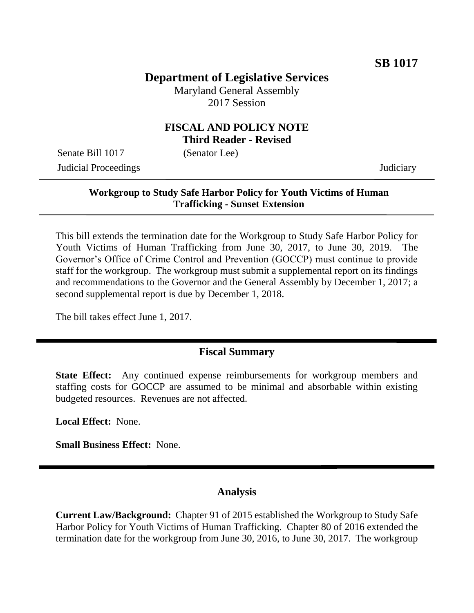# **Department of Legislative Services**

Maryland General Assembly 2017 Session

## **FISCAL AND POLICY NOTE Third Reader - Revised**

Senate Bill 1017 (Senator Lee) Judicial Proceedings Judiciary

### **Workgroup to Study Safe Harbor Policy for Youth Victims of Human Trafficking - Sunset Extension**

This bill extends the termination date for the Workgroup to Study Safe Harbor Policy for Youth Victims of Human Trafficking from June 30, 2017, to June 30, 2019. The Governor's Office of Crime Control and Prevention (GOCCP) must continue to provide staff for the workgroup. The workgroup must submit a supplemental report on its findings and recommendations to the Governor and the General Assembly by December 1, 2017; a second supplemental report is due by December 1, 2018.

The bill takes effect June 1, 2017.

### **Fiscal Summary**

**State Effect:** Any continued expense reimbursements for workgroup members and staffing costs for GOCCP are assumed to be minimal and absorbable within existing budgeted resources. Revenues are not affected.

**Local Effect:** None.

**Small Business Effect:** None.

### **Analysis**

**Current Law/Background:** Chapter 91 of 2015 established the Workgroup to Study Safe Harbor Policy for Youth Victims of Human Trafficking. Chapter 80 of 2016 extended the termination date for the workgroup from June 30, 2016, to June 30, 2017. The workgroup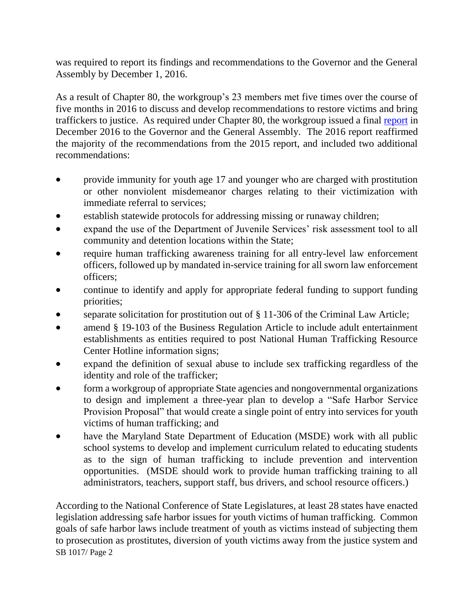was required to report its findings and recommendations to the Governor and the General Assembly by December 1, 2016.

As a result of Chapter 80, the workgroup's 23 members met five times over the course of five months in 2016 to discuss and develop recommendations to restore victims and bring traffickers to justice. As required under Chapter 80, the workgroup issued a final [report](http://dlslibrary.state.md.us/publications/Exec/GOCCP/SB863Ch80HB786Ch81_2016(f).pdf) in December 2016 to the Governor and the General Assembly. The 2016 report reaffirmed the majority of the recommendations from the 2015 report, and included two additional recommendations:

- provide immunity for youth age 17 and younger who are charged with prostitution or other nonviolent misdemeanor charges relating to their victimization with immediate referral to services;
- establish statewide protocols for addressing missing or runaway children;
- expand the use of the Department of Juvenile Services' risk assessment tool to all community and detention locations within the State;
- require human trafficking awareness training for all entry-level law enforcement officers, followed up by mandated in-service training for all sworn law enforcement officers;
- continue to identify and apply for appropriate federal funding to support funding priorities;
- separate solicitation for prostitution out of § 11-306 of the Criminal Law Article;
- amend § 19-103 of the Business Regulation Article to include adult entertainment establishments as entities required to post National Human Trafficking Resource Center Hotline information signs;
- expand the definition of sexual abuse to include sex trafficking regardless of the identity and role of the trafficker;
- form a workgroup of appropriate State agencies and nongovernmental organizations to design and implement a three-year plan to develop a "Safe Harbor Service Provision Proposal" that would create a single point of entry into services for youth victims of human trafficking; and
- have the Maryland State Department of Education (MSDE) work with all public school systems to develop and implement curriculum related to educating students as to the sign of human trafficking to include prevention and intervention opportunities. (MSDE should work to provide human trafficking training to all administrators, teachers, support staff, bus drivers, and school resource officers.)

SB 1017/ Page 2 According to the National Conference of State Legislatures, at least 28 states have enacted legislation addressing safe harbor issues for youth victims of human trafficking. Common goals of safe harbor laws include treatment of youth as victims instead of subjecting them to prosecution as prostitutes, diversion of youth victims away from the justice system and